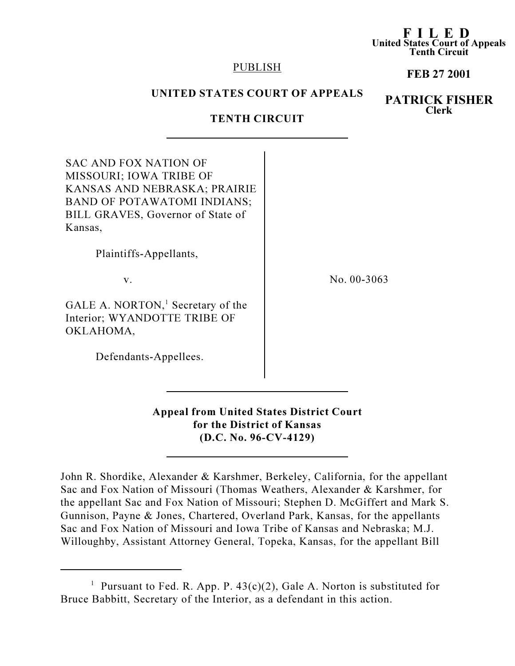#### F I L E D United States Court of Appeals Tenth Circuit

### PUBLISH

## FEB 27 2001

# UNITED STATES COURT OF APPEALS

# PATRICK FISHER Clerk

# TENTH CIRCUIT

| SAC AND FOX NATION OF                         |               |
|-----------------------------------------------|---------------|
| MISSOURI; IOWA TRIBE OF                       |               |
| KANSAS AND NEBRASKA; PRAIRIE                  |               |
| <b>BAND OF POTAWATOMI INDIANS;</b>            |               |
| BILL GRAVES, Governor of State of             |               |
| Kansas,                                       |               |
| Plaintiffs-Appellants,                        |               |
| V.                                            | No. $00-3063$ |
| GALE A. NORTON, <sup>1</sup> Secretary of the |               |
| Interior; WYANDOTTE TRIBE OF                  |               |
|                                               |               |
| OKLAHOMA,                                     |               |
|                                               |               |
| Defendants-Appellees.                         |               |

Appeal from United States District Court for the District of Kansas (D.C. No. 96-CV-4129)

John R. Shordike, Alexander & Karshmer, Berkeley, California, for the appellant Sac and Fox Nation of Missouri (Thomas Weathers, Alexander & Karshmer, for the appellant Sac and Fox Nation of Missouri; Stephen D. McGiffert and Mark S. Gunnison, Payne & Jones, Chartered, Overland Park, Kansas, for the appellants Sac and Fox Nation of Missouri and Iowa Tribe of Kansas and Nebraska; M.J. Willoughby, Assistant Attorney General, Topeka, Kansas, for the appellant Bill

<sup>&</sup>lt;sup>1</sup> Pursuant to Fed. R. App. P.  $43(c)(2)$ , Gale A. Norton is substituted for Bruce Babbitt, Secretary of the Interior, as a defendant in this action.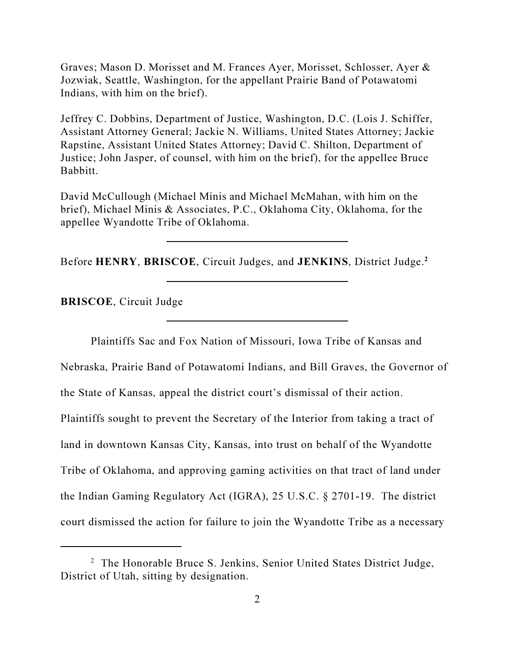Graves; Mason D. Morisset and M. Frances Ayer, Morisset, Schlosser, Ayer & Jozwiak, Seattle, Washington, for the appellant Prairie Band of Potawatomi Indians, with him on the brief).

Jeffrey C. Dobbins, Department of Justice, Washington, D.C. (Lois J. Schiffer, Assistant Attorney General; Jackie N. Williams, United States Attorney; Jackie Rapstine, Assistant United States Attorney; David C. Shilton, Department of Justice; John Jasper, of counsel, with him on the brief), for the appellee Bruce Babbitt.

David McCullough (Michael Minis and Michael McMahan, with him on the brief), Michael Minis & Associates, P.C., Oklahoma City, Oklahoma, for the appellee Wyandotte Tribe of Oklahoma.

Before HENRY, BRISCOE, Circuit Judges, and JENKINS, District Judge.<sup>2</sup>

BRISCOE, Circuit Judge

Plaintiffs Sac and Fox Nation of Missouri, Iowa Tribe of Kansas and Nebraska, Prairie Band of Potawatomi Indians, and Bill Graves, the Governor of the State of Kansas, appeal the district court's dismissal of their action. Plaintiffs sought to prevent the Secretary of the Interior from taking a tract of land in downtown Kansas City, Kansas, into trust on behalf of the Wyandotte Tribe of Oklahoma, and approving gaming activities on that tract of land under the Indian Gaming Regulatory Act (IGRA), 25 U.S.C. § 2701-19. The district court dismissed the action for failure to join the Wyandotte Tribe as a necessary

<sup>&</sup>lt;sup>2</sup> The Honorable Bruce S. Jenkins, Senior United States District Judge, District of Utah, sitting by designation.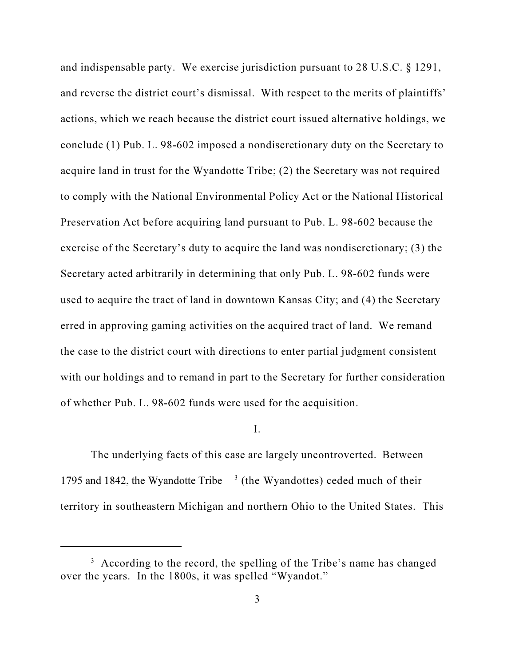and indispensable party. We exercise jurisdiction pursuant to 28 U.S.C. § 1291, and reverse the district court's dismissal. With respect to the merits of plaintiffs' actions, which we reach because the district court issued alternative holdings, we conclude (1) Pub. L. 98-602 imposed a nondiscretionary duty on the Secretary to acquire land in trust for the Wyandotte Tribe; (2) the Secretary was not required to comply with the National Environmental Policy Act or the National Historical Preservation Act before acquiring land pursuant to Pub. L. 98-602 because the exercise of the Secretary's duty to acquire the land was nondiscretionary; (3) the Secretary acted arbitrarily in determining that only Pub. L. 98-602 funds were used to acquire the tract of land in downtown Kansas City; and (4) the Secretary erred in approving gaming activities on the acquired tract of land. We remand the case to the district court with directions to enter partial judgment consistent with our holdings and to remand in part to the Secretary for further consideration of whether Pub. L. 98-602 funds were used for the acquisition.

### I.

The underlying facts of this case are largely uncontroverted. Between 1795 and 1842, the Wyandotte Tribe  $3$  (the Wyandottes) ceded much of their territory in southeastern Michigan and northern Ohio to the United States. This

<sup>&</sup>lt;sup>3</sup> According to the record, the spelling of the Tribe's name has changed over the years. In the 1800s, it was spelled "Wyandot."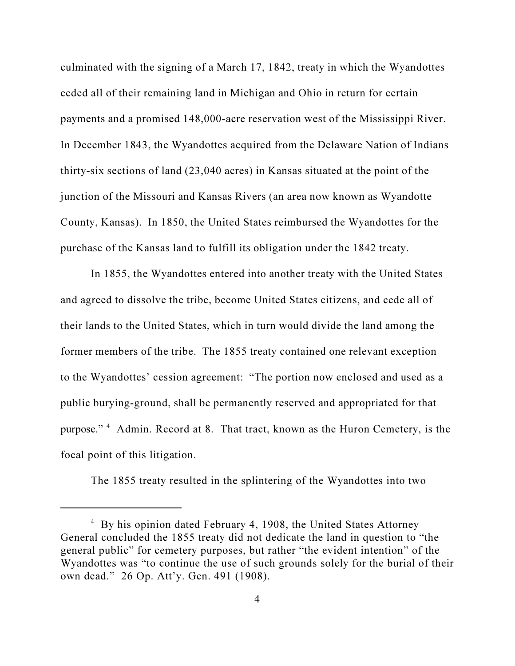culminated with the signing of a March 17, 1842, treaty in which the Wyandottes ceded all of their remaining land in Michigan and Ohio in return for certain payments and a promised 148,000-acre reservation west of the Mississippi River. In December 1843, the Wyandottes acquired from the Delaware Nation of Indians thirty-six sections of land (23,040 acres) in Kansas situated at the point of the junction of the Missouri and Kansas Rivers (an area now known as Wyandotte County, Kansas). In 1850, the United States reimbursed the Wyandottes for the purchase of the Kansas land to fulfill its obligation under the 1842 treaty.

In 1855, the Wyandottes entered into another treaty with the United States and agreed to dissolve the tribe, become United States citizens, and cede all of their lands to the United States, which in turn would divide the land among the former members of the tribe. The 1855 treaty contained one relevant exception to the Wyandottes' cession agreement: "The portion now enclosed and used as a public burying-ground, shall be permanently reserved and appropriated for that purpose."<sup>4</sup> Admin. Record at 8. That tract, known as the Huron Cemetery, is the focal point of this litigation.

The 1855 treaty resulted in the splintering of the Wyandottes into two

<sup>&</sup>lt;sup>4</sup> By his opinion dated February 4, 1908, the United States Attorney General concluded the 1855 treaty did not dedicate the land in question to "the general public" for cemetery purposes, but rather "the evident intention" of the Wyandottes was "to continue the use of such grounds solely for the burial of their own dead." 26 Op. Att'y. Gen. 491 (1908).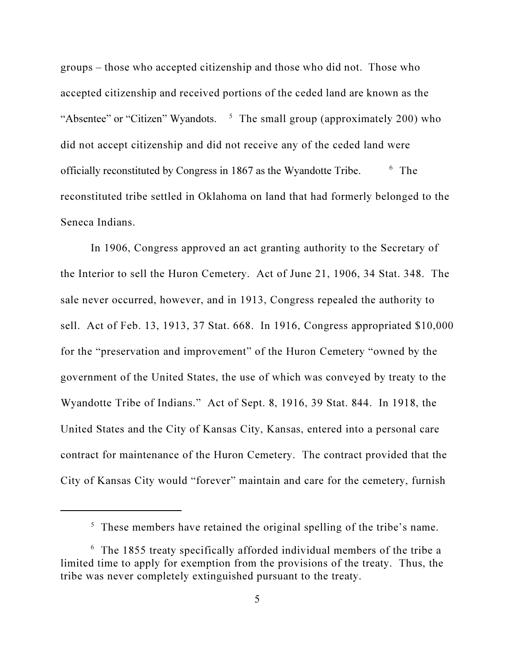groups – those who accepted citizenship and those who did not. Those who accepted citizenship and received portions of the ceded land are known as the "Absentee" or "Citizen" Wyandots. <sup>5</sup> The small group (approximately 200) who did not accept citizenship and did not receive any of the ceded land were officially reconstituted by Congress in 1867 as the Wyandotte Tribe. <sup>6</sup>  $6$  The reconstituted tribe settled in Oklahoma on land that had formerly belonged to the Seneca Indians.

In 1906, Congress approved an act granting authority to the Secretary of the Interior to sell the Huron Cemetery. Act of June 21, 1906, 34 Stat. 348. The sale never occurred, however, and in 1913, Congress repealed the authority to sell. Act of Feb. 13, 1913, 37 Stat. 668. In 1916, Congress appropriated \$10,000 for the "preservation and improvement" of the Huron Cemetery "owned by the government of the United States, the use of which was conveyed by treaty to the Wyandotte Tribe of Indians." Act of Sept. 8, 1916, 39 Stat. 844. In 1918, the United States and the City of Kansas City, Kansas, entered into a personal care contract for maintenance of the Huron Cemetery. The contract provided that the City of Kansas City would "forever" maintain and care for the cemetery, furnish

 $5$  These members have retained the original spelling of the tribe's name.

<sup>&</sup>lt;sup>6</sup> The 1855 treaty specifically afforded individual members of the tribe a limited time to apply for exemption from the provisions of the treaty. Thus, the tribe was never completely extinguished pursuant to the treaty.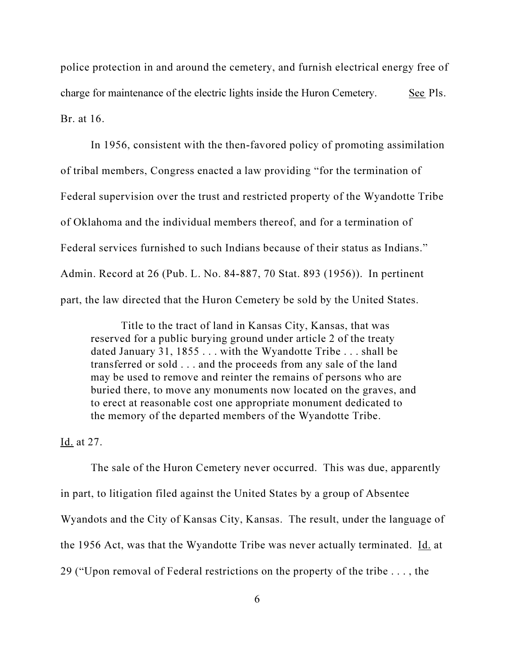police protection in and around the cemetery, and furnish electrical energy free of charge for maintenance of the electric lights inside the Huron Cemetery. See Pls. Br. at 16.

In 1956, consistent with the then-favored policy of promoting assimilation of tribal members, Congress enacted a law providing "for the termination of Federal supervision over the trust and restricted property of the Wyandotte Tribe of Oklahoma and the individual members thereof, and for a termination of Federal services furnished to such Indians because of their status as Indians." Admin. Record at 26 (Pub. L. No. 84-887, 70 Stat. 893 (1956)). In pertinent part, the law directed that the Huron Cemetery be sold by the United States.

Title to the tract of land in Kansas City, Kansas, that was reserved for a public burying ground under article 2 of the treaty dated January 31, 1855 . . . with the Wyandotte Tribe . . . shall be transferred or sold . . . and the proceeds from any sale of the land may be used to remove and reinter the remains of persons who are buried there, to move any monuments now located on the graves, and to erect at reasonable cost one appropriate monument dedicated to the memory of the departed members of the Wyandotte Tribe.

Id. at 27.

The sale of the Huron Cemetery never occurred. This was due, apparently in part, to litigation filed against the United States by a group of Absentee Wyandots and the City of Kansas City, Kansas. The result, under the language of the 1956 Act, was that the Wyandotte Tribe was never actually terminated. Id. at 29 ("Upon removal of Federal restrictions on the property of the tribe . . . , the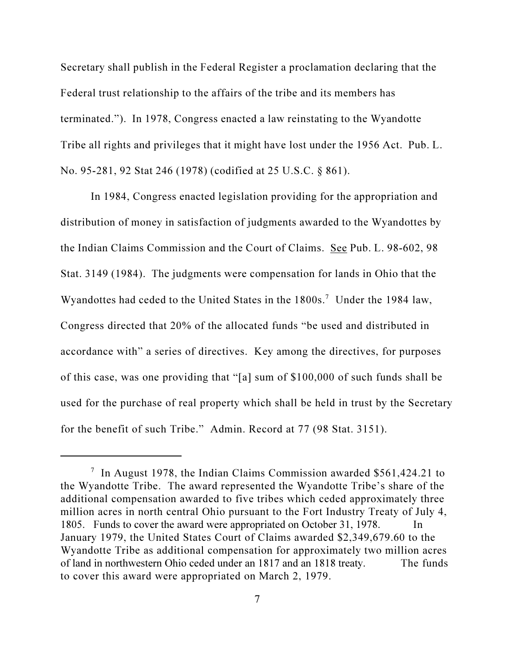Secretary shall publish in the Federal Register a proclamation declaring that the Federal trust relationship to the affairs of the tribe and its members has terminated."). In 1978, Congress enacted a law reinstating to the Wyandotte Tribe all rights and privileges that it might have lost under the 1956 Act. Pub. L. No. 95-281, 92 Stat 246 (1978) (codified at 25 U.S.C. § 861).

In 1984, Congress enacted legislation providing for the appropriation and distribution of money in satisfaction of judgments awarded to the Wyandottes by the Indian Claims Commission and the Court of Claims. See Pub. L. 98-602, 98 Stat. 3149 (1984). The judgments were compensation for lands in Ohio that the Wyandottes had ceded to the United States in the 1800s.<sup>7</sup> Under the 1984 law, Congress directed that 20% of the allocated funds "be used and distributed in accordance with" a series of directives. Key among the directives, for purposes of this case, was one providing that "[a] sum of \$100,000 of such funds shall be used for the purchase of real property which shall be held in trust by the Secretary for the benefit of such Tribe." Admin. Record at 77 (98 Stat. 3151).

<sup>&</sup>lt;sup>7</sup> In August 1978, the Indian Claims Commission awarded \$561,424.21 to the Wyandotte Tribe. The award represented the Wyandotte Tribe's share of the additional compensation awarded to five tribes which ceded approximately three million acres in north central Ohio pursuant to the Fort Industry Treaty of July 4, 1805. Funds to cover the award were appropriated on October 31, 1978. In January 1979, the United States Court of Claims awarded \$2,349,679.60 to the Wyandotte Tribe as additional compensation for approximately two million acres of land in northwestern Ohio ceded under an 1817 and an 1818 treaty. The funds to cover this award were appropriated on March 2, 1979.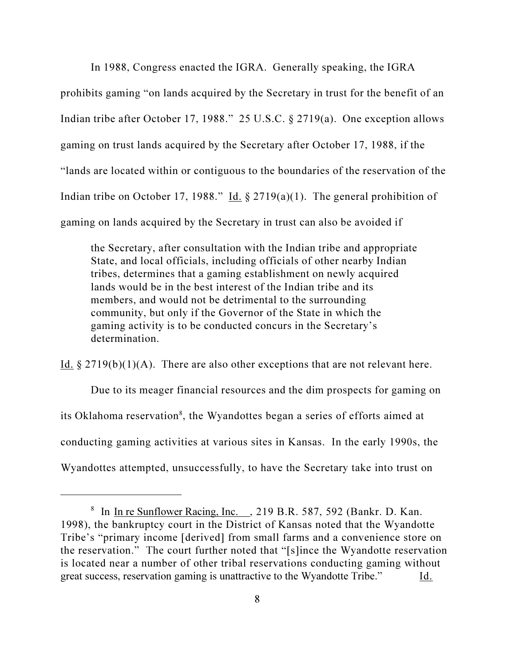In 1988, Congress enacted the IGRA. Generally speaking, the IGRA prohibits gaming "on lands acquired by the Secretary in trust for the benefit of an Indian tribe after October 17, 1988." 25 U.S.C. § 2719(a). One exception allows gaming on trust lands acquired by the Secretary after October 17, 1988, if the "lands are located within or contiguous to the boundaries of the reservation of the Indian tribe on October 17, 1988." Id.  $\S 2719(a)(1)$ . The general prohibition of gaming on lands acquired by the Secretary in trust can also be avoided if

the Secretary, after consultation with the Indian tribe and appropriate State, and local officials, including officials of other nearby Indian tribes, determines that a gaming establishment on newly acquired lands would be in the best interest of the Indian tribe and its members, and would not be detrimental to the surrounding community, but only if the Governor of the State in which the gaming activity is to be conducted concurs in the Secretary's determination.

Id.  $\S 2719(b)(1)(A)$ . There are also other exceptions that are not relevant here.

Due to its meager financial resources and the dim prospects for gaming on its Oklahoma reservation<sup>8</sup>, the Wyandottes began a series of efforts aimed at conducting gaming activities at various sites in Kansas. In the early 1990s, the Wyandottes attempted, unsuccessfully, to have the Secretary take into trust on

<sup>&</sup>lt;sup>8</sup> In In re Sunflower Racing, Inc. , 219 B.R. 587, 592 (Bankr. D. Kan. 1998), the bankruptcy court in the District of Kansas noted that the Wyandotte Tribe's "primary income [derived] from small farms and a convenience store on the reservation." The court further noted that "[s]ince the Wyandotte reservation is located near a number of other tribal reservations conducting gaming without great success, reservation gaming is unattractive to the Wyandotte Tribe." Id.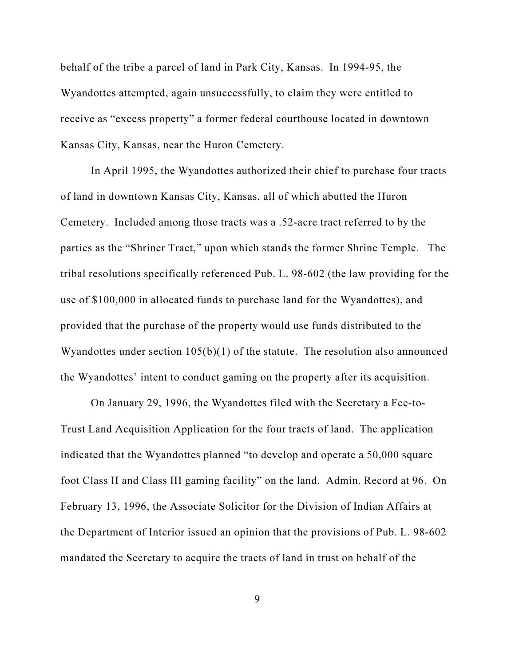behalf of the tribe a parcel of land in Park City, Kansas. In 1994-95, the Wyandottes attempted, again unsuccessfully, to claim they were entitled to receive as "excess property" a former federal courthouse located in downtown Kansas City, Kansas, near the Huron Cemetery.

In April 1995, the Wyandottes authorized their chief to purchase four tracts of land in downtown Kansas City, Kansas, all of which abutted the Huron Cemetery. Included among those tracts was a .52-acre tract referred to by the parties as the "Shriner Tract," upon which stands the former Shrine Temple. The tribal resolutions specifically referenced Pub. L. 98-602 (the law providing for the use of \$100,000 in allocated funds to purchase land for the Wyandottes), and provided that the purchase of the property would use funds distributed to the Wyandottes under section 105(b)(1) of the statute. The resolution also announced the Wyandottes' intent to conduct gaming on the property after its acquisition.

On January 29, 1996, the Wyandottes filed with the Secretary a Fee-to-Trust Land Acquisition Application for the four tracts of land. The application indicated that the Wyandottes planned "to develop and operate a 50,000 square foot Class II and Class III gaming facility" on the land. Admin. Record at 96. On February 13, 1996, the Associate Solicitor for the Division of Indian Affairs at the Department of Interior issued an opinion that the provisions of Pub. L. 98-602 mandated the Secretary to acquire the tracts of land in trust on behalf of the

9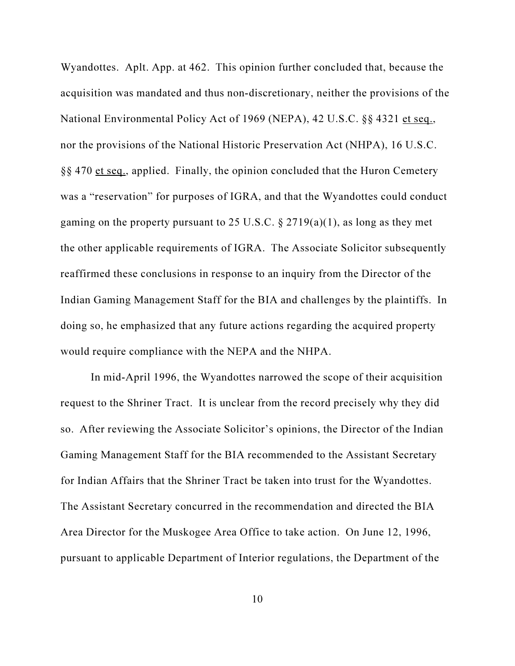Wyandottes. Aplt. App. at 462. This opinion further concluded that, because the acquisition was mandated and thus non-discretionary, neither the provisions of the National Environmental Policy Act of 1969 (NEPA), 42 U.S.C. §§ 4321 et seq., nor the provisions of the National Historic Preservation Act (NHPA), 16 U.S.C. §§ 470 et seq., applied. Finally, the opinion concluded that the Huron Cemetery was a "reservation" for purposes of IGRA, and that the Wyandottes could conduct gaming on the property pursuant to 25 U.S.C.  $\S 2719(a)(1)$ , as long as they met the other applicable requirements of IGRA. The Associate Solicitor subsequently reaffirmed these conclusions in response to an inquiry from the Director of the Indian Gaming Management Staff for the BIA and challenges by the plaintiffs. In doing so, he emphasized that any future actions regarding the acquired property would require compliance with the NEPA and the NHPA.

In mid-April 1996, the Wyandottes narrowed the scope of their acquisition request to the Shriner Tract. It is unclear from the record precisely why they did so. After reviewing the Associate Solicitor's opinions, the Director of the Indian Gaming Management Staff for the BIA recommended to the Assistant Secretary for Indian Affairs that the Shriner Tract be taken into trust for the Wyandottes. The Assistant Secretary concurred in the recommendation and directed the BIA Area Director for the Muskogee Area Office to take action. On June 12, 1996, pursuant to applicable Department of Interior regulations, the Department of the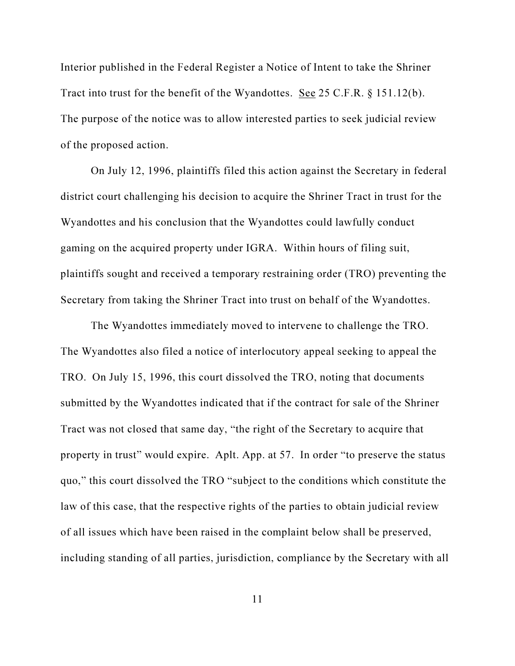Interior published in the Federal Register a Notice of Intent to take the Shriner Tract into trust for the benefit of the Wyandottes. See 25 C.F.R. § 151.12(b). The purpose of the notice was to allow interested parties to seek judicial review of the proposed action.

On July 12, 1996, plaintiffs filed this action against the Secretary in federal district court challenging his decision to acquire the Shriner Tract in trust for the Wyandottes and his conclusion that the Wyandottes could lawfully conduct gaming on the acquired property under IGRA. Within hours of filing suit, plaintiffs sought and received a temporary restraining order (TRO) preventing the Secretary from taking the Shriner Tract into trust on behalf of the Wyandottes.

The Wyandottes immediately moved to intervene to challenge the TRO. The Wyandottes also filed a notice of interlocutory appeal seeking to appeal the TRO. On July 15, 1996, this court dissolved the TRO, noting that documents submitted by the Wyandottes indicated that if the contract for sale of the Shriner Tract was not closed that same day, "the right of the Secretary to acquire that property in trust" would expire. Aplt. App. at 57. In order "to preserve the status quo," this court dissolved the TRO "subject to the conditions which constitute the law of this case, that the respective rights of the parties to obtain judicial review of all issues which have been raised in the complaint below shall be preserved, including standing of all parties, jurisdiction, compliance by the Secretary with all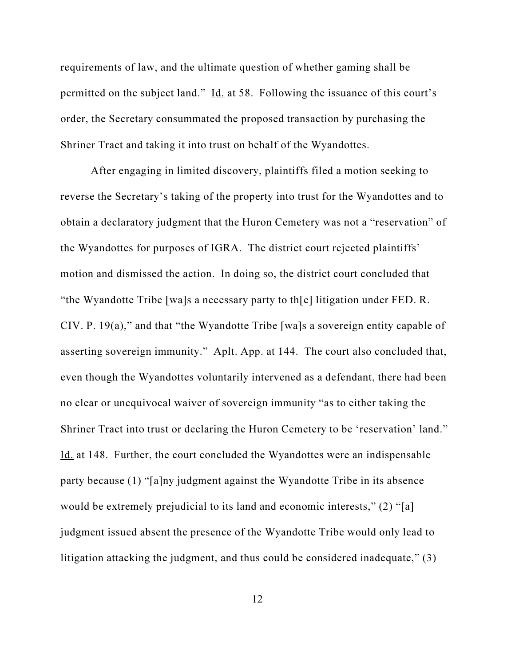requirements of law, and the ultimate question of whether gaming shall be permitted on the subject land." Id. at 58. Following the issuance of this court's order, the Secretary consummated the proposed transaction by purchasing the Shriner Tract and taking it into trust on behalf of the Wyandottes.

After engaging in limited discovery, plaintiffs filed a motion seeking to reverse the Secretary's taking of the property into trust for the Wyandottes and to obtain a declaratory judgment that the Huron Cemetery was not a "reservation" of the Wyandottes for purposes of IGRA. The district court rejected plaintiffs' motion and dismissed the action. In doing so, the district court concluded that "the Wyandotte Tribe [wa]s a necessary party to th[e] litigation under FED. R. CIV. P. 19(a)," and that "the Wyandotte Tribe [wa]s a sovereign entity capable of asserting sovereign immunity." Aplt. App. at 144. The court also concluded that, even though the Wyandottes voluntarily intervened as a defendant, there had been no clear or unequivocal waiver of sovereign immunity "as to either taking the Shriner Tract into trust or declaring the Huron Cemetery to be 'reservation' land." Id. at 148. Further, the court concluded the Wyandottes were an indispensable party because (1) "[a]ny judgment against the Wyandotte Tribe in its absence would be extremely prejudicial to its land and economic interests," (2) "[a] judgment issued absent the presence of the Wyandotte Tribe would only lead to litigation attacking the judgment, and thus could be considered inadequate," (3)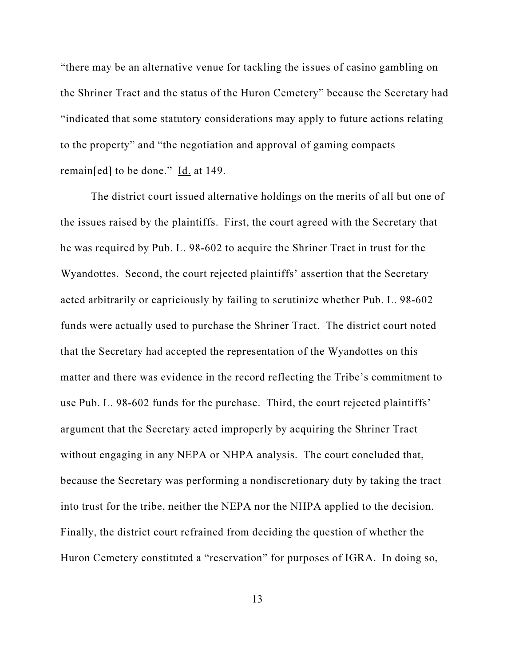"there may be an alternative venue for tackling the issues of casino gambling on the Shriner Tract and the status of the Huron Cemetery" because the Secretary had "indicated that some statutory considerations may apply to future actions relating to the property" and "the negotiation and approval of gaming compacts remain[ed] to be done." Id. at 149.

The district court issued alternative holdings on the merits of all but one of the issues raised by the plaintiffs. First, the court agreed with the Secretary that he was required by Pub. L. 98-602 to acquire the Shriner Tract in trust for the Wyandottes. Second, the court rejected plaintiffs' assertion that the Secretary acted arbitrarily or capriciously by failing to scrutinize whether Pub. L. 98-602 funds were actually used to purchase the Shriner Tract. The district court noted that the Secretary had accepted the representation of the Wyandottes on this matter and there was evidence in the record reflecting the Tribe's commitment to use Pub. L. 98-602 funds for the purchase. Third, the court rejected plaintiffs' argument that the Secretary acted improperly by acquiring the Shriner Tract without engaging in any NEPA or NHPA analysis. The court concluded that, because the Secretary was performing a nondiscretionary duty by taking the tract into trust for the tribe, neither the NEPA nor the NHPA applied to the decision. Finally, the district court refrained from deciding the question of whether the Huron Cemetery constituted a "reservation" for purposes of IGRA. In doing so,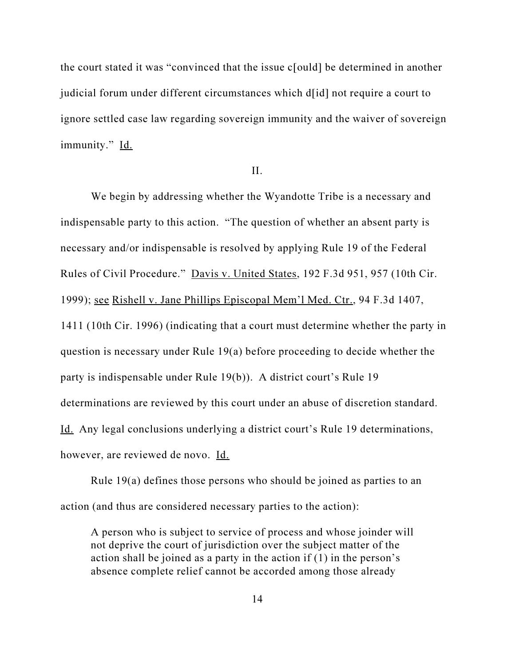the court stated it was "convinced that the issue c[ould] be determined in another judicial forum under different circumstances which d[id] not require a court to ignore settled case law regarding sovereign immunity and the waiver of sovereign immunity." Id.

II.

We begin by addressing whether the Wyandotte Tribe is a necessary and indispensable party to this action. "The question of whether an absent party is necessary and/or indispensable is resolved by applying Rule 19 of the Federal Rules of Civil Procedure." Davis v. United States, 192 F.3d 951, 957 (10th Cir. 1999); see Rishell v. Jane Phillips Episcopal Mem'l Med. Ctr., 94 F.3d 1407, 1411 (10th Cir. 1996) (indicating that a court must determine whether the party in question is necessary under Rule 19(a) before proceeding to decide whether the party is indispensable under Rule 19(b)). A district court's Rule 19 determinations are reviewed by this court under an abuse of discretion standard. Id. Any legal conclusions underlying a district court's Rule 19 determinations, however, are reviewed de novo. Id.

Rule 19(a) defines those persons who should be joined as parties to an action (and thus are considered necessary parties to the action):

A person who is subject to service of process and whose joinder will not deprive the court of jurisdiction over the subject matter of the action shall be joined as a party in the action if (1) in the person's absence complete relief cannot be accorded among those already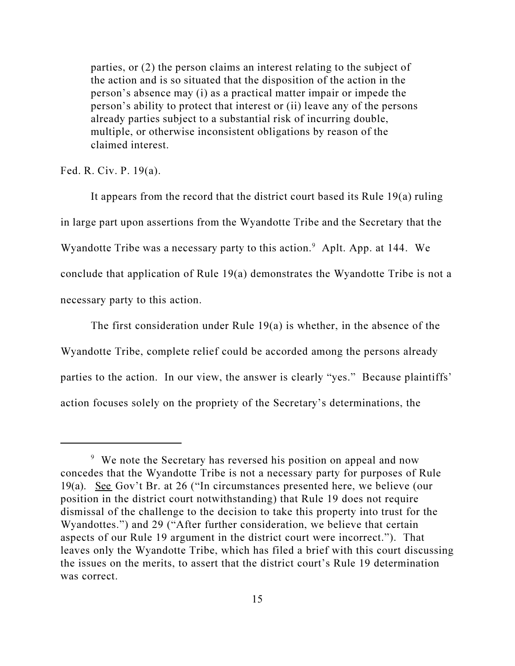parties, or (2) the person claims an interest relating to the subject of the action and is so situated that the disposition of the action in the person's absence may (i) as a practical matter impair or impede the person's ability to protect that interest or (ii) leave any of the persons already parties subject to a substantial risk of incurring double, multiple, or otherwise inconsistent obligations by reason of the claimed interest.

Fed. R. Civ. P. 19(a).

It appears from the record that the district court based its Rule 19(a) ruling in large part upon assertions from the Wyandotte Tribe and the Secretary that the Wyandotte Tribe was a necessary party to this action.<sup>9</sup> Aplt. App. at 144. We conclude that application of Rule 19(a) demonstrates the Wyandotte Tribe is not a necessary party to this action.

The first consideration under Rule 19(a) is whether, in the absence of the Wyandotte Tribe, complete relief could be accorded among the persons already parties to the action. In our view, the answer is clearly "yes." Because plaintiffs' action focuses solely on the propriety of the Secretary's determinations, the

<sup>&</sup>lt;sup>9</sup> We note the Secretary has reversed his position on appeal and now concedes that the Wyandotte Tribe is not a necessary party for purposes of Rule 19(a). See Gov't Br. at 26 ("In circumstances presented here, we believe (our position in the district court notwithstanding) that Rule 19 does not require dismissal of the challenge to the decision to take this property into trust for the Wyandottes.") and 29 ("After further consideration, we believe that certain aspects of our Rule 19 argument in the district court were incorrect."). That leaves only the Wyandotte Tribe, which has filed a brief with this court discussing the issues on the merits, to assert that the district court's Rule 19 determination was correct.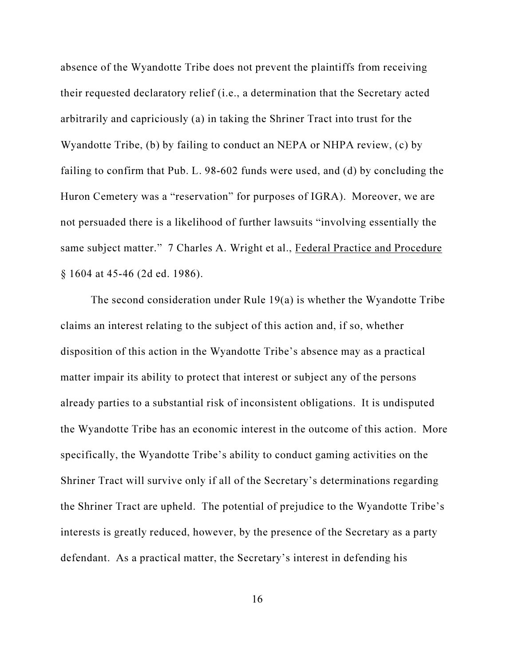absence of the Wyandotte Tribe does not prevent the plaintiffs from receiving their requested declaratory relief (i.e., a determination that the Secretary acted arbitrarily and capriciously (a) in taking the Shriner Tract into trust for the Wyandotte Tribe, (b) by failing to conduct an NEPA or NHPA review, (c) by failing to confirm that Pub. L. 98-602 funds were used, and (d) by concluding the Huron Cemetery was a "reservation" for purposes of IGRA). Moreover, we are not persuaded there is a likelihood of further lawsuits "involving essentially the same subject matter." 7 Charles A. Wright et al., Federal Practice and Procedure § 1604 at 45-46 (2d ed. 1986).

The second consideration under Rule 19(a) is whether the Wyandotte Tribe claims an interest relating to the subject of this action and, if so, whether disposition of this action in the Wyandotte Tribe's absence may as a practical matter impair its ability to protect that interest or subject any of the persons already parties to a substantial risk of inconsistent obligations. It is undisputed the Wyandotte Tribe has an economic interest in the outcome of this action. More specifically, the Wyandotte Tribe's ability to conduct gaming activities on the Shriner Tract will survive only if all of the Secretary's determinations regarding the Shriner Tract are upheld. The potential of prejudice to the Wyandotte Tribe's interests is greatly reduced, however, by the presence of the Secretary as a party defendant. As a practical matter, the Secretary's interest in defending his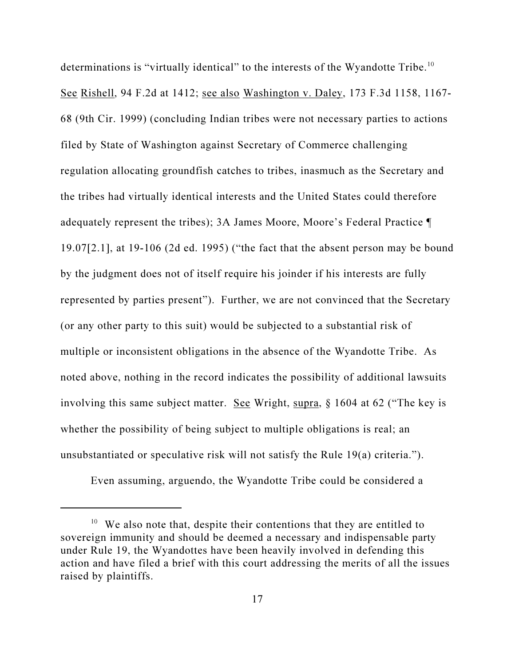determinations is "virtually identical" to the interests of the Wyandotte Tribe.<sup>10</sup> See Rishell, 94 F.2d at 1412; see also Washington v. Daley, 173 F.3d 1158, 1167- 68 (9th Cir. 1999) (concluding Indian tribes were not necessary parties to actions filed by State of Washington against Secretary of Commerce challenging regulation allocating groundfish catches to tribes, inasmuch as the Secretary and the tribes had virtually identical interests and the United States could therefore adequately represent the tribes); 3A James Moore, Moore's Federal Practice ¶ 19.07[2.1], at 19-106 (2d ed. 1995) ("the fact that the absent person may be bound by the judgment does not of itself require his joinder if his interests are fully represented by parties present"). Further, we are not convinced that the Secretary (or any other party to this suit) would be subjected to a substantial risk of multiple or inconsistent obligations in the absence of the Wyandotte Tribe. As noted above, nothing in the record indicates the possibility of additional lawsuits involving this same subject matter. See Wright, supra,  $\S$  1604 at 62 ("The key is whether the possibility of being subject to multiple obligations is real; an unsubstantiated or speculative risk will not satisfy the Rule 19(a) criteria.").

Even assuming, arguendo, the Wyandotte Tribe could be considered a

<sup>&</sup>lt;sup>10</sup> We also note that, despite their contentions that they are entitled to sovereign immunity and should be deemed a necessary and indispensable party under Rule 19, the Wyandottes have been heavily involved in defending this action and have filed a brief with this court addressing the merits of all the issues raised by plaintiffs.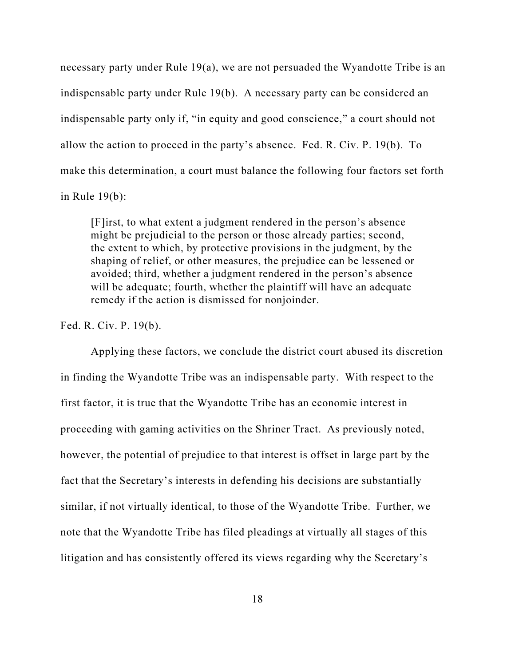necessary party under Rule 19(a), we are not persuaded the Wyandotte Tribe is an indispensable party under Rule 19(b). A necessary party can be considered an indispensable party only if, "in equity and good conscience," a court should not allow the action to proceed in the party's absence. Fed. R. Civ. P. 19(b). To make this determination, a court must balance the following four factors set forth in Rule 19(b):

[F]irst, to what extent a judgment rendered in the person's absence might be prejudicial to the person or those already parties; second, the extent to which, by protective provisions in the judgment, by the shaping of relief, or other measures, the prejudice can be lessened or avoided; third, whether a judgment rendered in the person's absence will be adequate; fourth, whether the plaintiff will have an adequate remedy if the action is dismissed for nonjoinder.

Fed. R. Civ. P. 19(b).

Applying these factors, we conclude the district court abused its discretion in finding the Wyandotte Tribe was an indispensable party. With respect to the first factor, it is true that the Wyandotte Tribe has an economic interest in proceeding with gaming activities on the Shriner Tract. As previously noted, however, the potential of prejudice to that interest is offset in large part by the fact that the Secretary's interests in defending his decisions are substantially similar, if not virtually identical, to those of the Wyandotte Tribe. Further, we note that the Wyandotte Tribe has filed pleadings at virtually all stages of this litigation and has consistently offered its views regarding why the Secretary's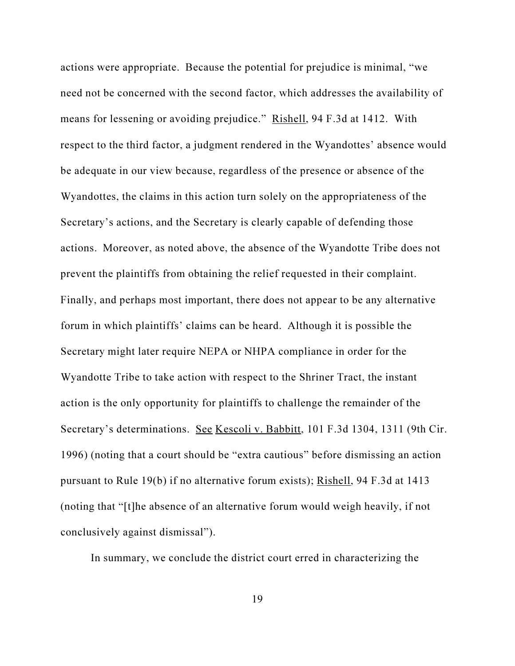actions were appropriate. Because the potential for prejudice is minimal, "we need not be concerned with the second factor, which addresses the availability of means for lessening or avoiding prejudice." Rishell, 94 F.3d at 1412. With respect to the third factor, a judgment rendered in the Wyandottes' absence would be adequate in our view because, regardless of the presence or absence of the Wyandottes, the claims in this action turn solely on the appropriateness of the Secretary's actions, and the Secretary is clearly capable of defending those actions. Moreover, as noted above, the absence of the Wyandotte Tribe does not prevent the plaintiffs from obtaining the relief requested in their complaint. Finally, and perhaps most important, there does not appear to be any alternative forum in which plaintiffs' claims can be heard. Although it is possible the Secretary might later require NEPA or NHPA compliance in order for the Wyandotte Tribe to take action with respect to the Shriner Tract, the instant action is the only opportunity for plaintiffs to challenge the remainder of the Secretary's determinations. See Kescoli v. Babbitt, 101 F.3d 1304, 1311 (9th Cir. 1996) (noting that a court should be "extra cautious" before dismissing an action pursuant to Rule 19(b) if no alternative forum exists); Rishell, 94 F.3d at 1413 (noting that "[t]he absence of an alternative forum would weigh heavily, if not conclusively against dismissal").

In summary, we conclude the district court erred in characterizing the

19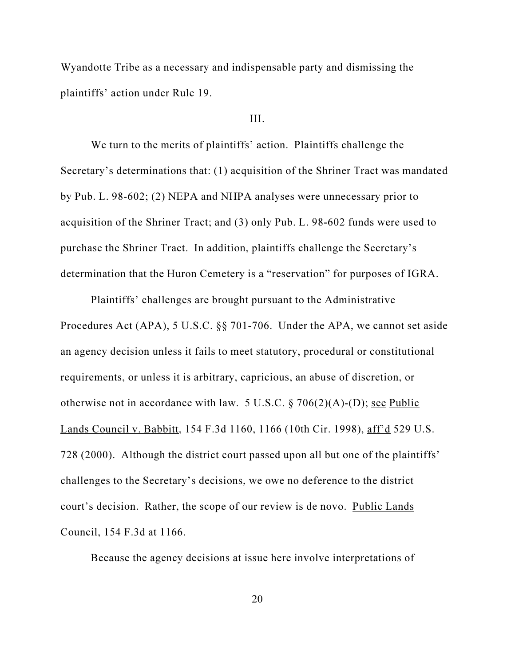Wyandotte Tribe as a necessary and indispensable party and dismissing the plaintiffs' action under Rule 19.

#### III.

We turn to the merits of plaintiffs' action. Plaintiffs challenge the Secretary's determinations that: (1) acquisition of the Shriner Tract was mandated by Pub. L. 98-602; (2) NEPA and NHPA analyses were unnecessary prior to acquisition of the Shriner Tract; and (3) only Pub. L. 98-602 funds were used to purchase the Shriner Tract. In addition, plaintiffs challenge the Secretary's determination that the Huron Cemetery is a "reservation" for purposes of IGRA.

Plaintiffs' challenges are brought pursuant to the Administrative Procedures Act (APA), 5 U.S.C. §§ 701-706. Under the APA, we cannot set aside an agency decision unless it fails to meet statutory, procedural or constitutional requirements, or unless it is arbitrary, capricious, an abuse of discretion, or otherwise not in accordance with law. 5 U.S.C.  $\S 706(2)(A)$ -(D); see Public Lands Council v. Babbitt, 154 F.3d 1160, 1166 (10th Cir. 1998), aff'd 529 U.S. 728 (2000). Although the district court passed upon all but one of the plaintiffs' challenges to the Secretary's decisions, we owe no deference to the district court's decision. Rather, the scope of our review is de novo. Public Lands Council, 154 F.3d at 1166.

Because the agency decisions at issue here involve interpretations of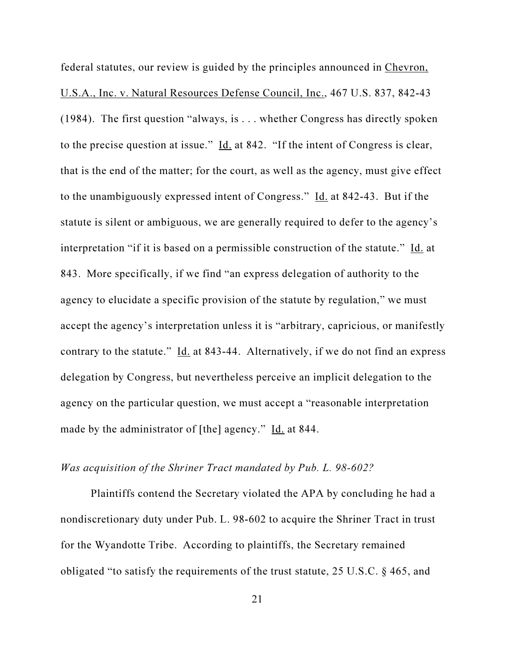federal statutes, our review is guided by the principles announced in Chevron, U.S.A., Inc. v. Natural Resources Defense Council, Inc., 467 U.S. 837, 842-43 (1984). The first question "always, is . . . whether Congress has directly spoken to the precise question at issue." Id. at 842. "If the intent of Congress is clear, that is the end of the matter; for the court, as well as the agency, must give effect to the unambiguously expressed intent of Congress." Id. at 842-43. But if the statute is silent or ambiguous, we are generally required to defer to the agency's interpretation "if it is based on a permissible construction of the statute." Id. at 843. More specifically, if we find "an express delegation of authority to the agency to elucidate a specific provision of the statute by regulation," we must accept the agency's interpretation unless it is "arbitrary, capricious, or manifestly contrary to the statute." Id. at 843-44. Alternatively, if we do not find an express delegation by Congress, but nevertheless perceive an implicit delegation to the agency on the particular question, we must accept a "reasonable interpretation made by the administrator of [the] agency." Id. at 844.

# Was acquisition of the Shriner Tract mandated by Pub. L. 98-602?

Plaintiffs contend the Secretary violated the APA by concluding he had a nondiscretionary duty under Pub. L. 98-602 to acquire the Shriner Tract in trust for the Wyandotte Tribe. According to plaintiffs, the Secretary remained obligated "to satisfy the requirements of the trust statute, 25 U.S.C. § 465, and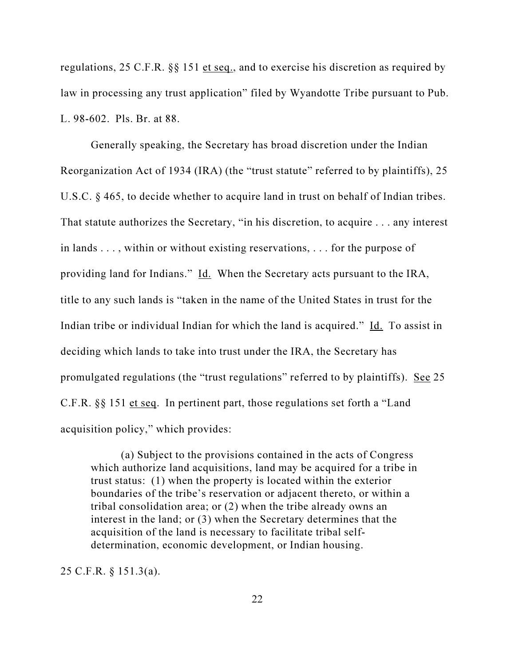regulations, 25 C.F.R. §§ 151 et seq., and to exercise his discretion as required by law in processing any trust application" filed by Wyandotte Tribe pursuant to Pub. L. 98-602. Pls. Br. at 88.

Generally speaking, the Secretary has broad discretion under the Indian Reorganization Act of 1934 (IRA) (the "trust statute" referred to by plaintiffs), 25 U.S.C. § 465, to decide whether to acquire land in trust on behalf of Indian tribes. That statute authorizes the Secretary, "in his discretion, to acquire . . . any interest in lands . . . , within or without existing reservations, . . . for the purpose of providing land for Indians." Id. When the Secretary acts pursuant to the IRA, title to any such lands is "taken in the name of the United States in trust for the Indian tribe or individual Indian for which the land is acquired." Id. To assist in deciding which lands to take into trust under the IRA, the Secretary has promulgated regulations (the "trust regulations" referred to by plaintiffs). See 25 C.F.R. §§ 151 et seq. In pertinent part, those regulations set forth a "Land acquisition policy," which provides:

(a) Subject to the provisions contained in the acts of Congress which authorize land acquisitions, land may be acquired for a tribe in trust status: (1) when the property is located within the exterior boundaries of the tribe's reservation or adjacent thereto, or within a tribal consolidation area; or (2) when the tribe already owns an interest in the land; or (3) when the Secretary determines that the acquisition of the land is necessary to facilitate tribal selfdetermination, economic development, or Indian housing.

25 C.F.R. § 151.3(a).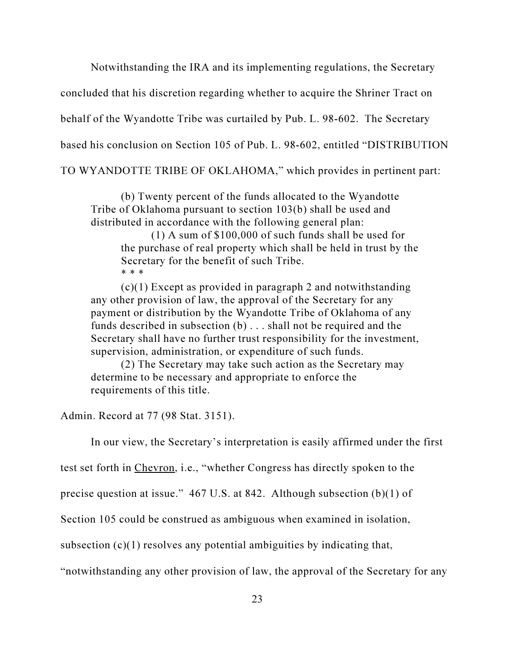Notwithstanding the IRA and its implementing regulations, the Secretary

concluded that his discretion regarding whether to acquire the Shriner Tract on

behalf of the Wyandotte Tribe was curtailed by Pub. L. 98-602. The Secretary

based his conclusion on Section 105 of Pub. L. 98-602, entitled "DISTRIBUTION

TO WYANDOTTE TRIBE OF OKLAHOMA," which provides in pertinent part:

(b) Twenty percent of the funds allocated to the Wyandotte Tribe of Oklahoma pursuant to section 103(b) shall be used and distributed in accordance with the following general plan:

(1) A sum of \$100,000 of such funds shall be used for the purchase of real property which shall be held in trust by the Secretary for the benefit of such Tribe. \* \* \*

 $(c)(1)$  Except as provided in paragraph 2 and notwithstanding any other provision of law, the approval of the Secretary for any payment or distribution by the Wyandotte Tribe of Oklahoma of any funds described in subsection (b) . . . shall not be required and the Secretary shall have no further trust responsibility for the investment, supervision, administration, or expenditure of such funds.

(2) The Secretary may take such action as the Secretary may determine to be necessary and appropriate to enforce the requirements of this title.

Admin. Record at 77 (98 Stat. 3151).

In our view, the Secretary's interpretation is easily affirmed under the first

test set forth in Chevron, i.e., "whether Congress has directly spoken to the

precise question at issue."  $467$  U.S. at 842. Although subsection (b)(1) of

Section 105 could be construed as ambiguous when examined in isolation,

subsection  $(c)(1)$  resolves any potential ambiguities by indicating that,

"notwithstanding any other provision of law, the approval of the Secretary for any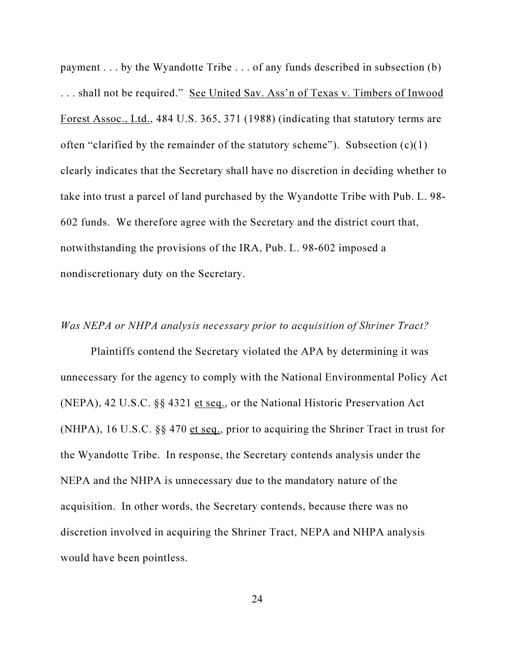payment . . . by the Wyandotte Tribe . . . of any funds described in subsection (b) ... shall not be required." See United Sav. Ass'n of Texas v. Timbers of Inwood Forest Assoc., Ltd., 484 U.S. 365, 371 (1988) (indicating that statutory terms are often "clarified by the remainder of the statutory scheme"). Subsection  $(c)(1)$ clearly indicates that the Secretary shall have no discretion in deciding whether to take into trust a parcel of land purchased by the Wyandotte Tribe with Pub. L. 98- 602 funds. We therefore agree with the Secretary and the district court that, notwithstanding the provisions of the IRA, Pub. L. 98-602 imposed a nondiscretionary duty on the Secretary.

## Was NEPA or NHPA analysis necessary prior to acquisition of Shriner Tract?

Plaintiffs contend the Secretary violated the APA by determining it was unnecessary for the agency to comply with the National Environmental Policy Act (NEPA), 42 U.S.C. §§ 4321 et seq., or the National Historic Preservation Act (NHPA), 16 U.S.C.  $\S$ § 470 et seq., prior to acquiring the Shriner Tract in trust for the Wyandotte Tribe. In response, the Secretary contends analysis under the NEPA and the NHPA is unnecessary due to the mandatory nature of the acquisition. In other words, the Secretary contends, because there was no discretion involved in acquiring the Shriner Tract, NEPA and NHPA analysis would have been pointless.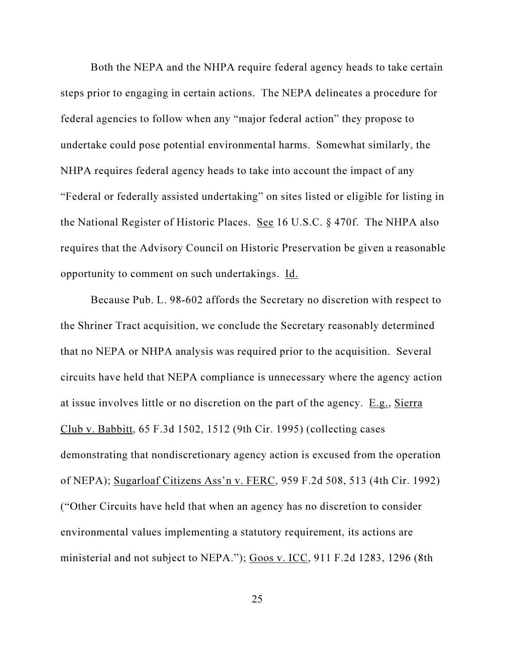Both the NEPA and the NHPA require federal agency heads to take certain steps prior to engaging in certain actions. The NEPA delineates a procedure for federal agencies to follow when any "major federal action" they propose to undertake could pose potential environmental harms. Somewhat similarly, the NHPA requires federal agency heads to take into account the impact of any "Federal or federally assisted undertaking" on sites listed or eligible for listing in the National Register of Historic Places. See 16 U.S.C. § 470f. The NHPA also requires that the Advisory Council on Historic Preservation be given a reasonable opportunity to comment on such undertakings. Id.

Because Pub. L. 98-602 affords the Secretary no discretion with respect to the Shriner Tract acquisition, we conclude the Secretary reasonably determined that no NEPA or NHPA analysis was required prior to the acquisition. Several circuits have held that NEPA compliance is unnecessary where the agency action at issue involves little or no discretion on the part of the agency. E.g., Sierra Club v. Babbitt, 65 F.3d 1502, 1512 (9th Cir. 1995) (collecting cases demonstrating that nondiscretionary agency action is excused from the operation of NEPA); Sugarloaf Citizens Ass'n v. FERC, 959 F.2d 508, 513 (4th Cir. 1992) ("Other Circuits have held that when an agency has no discretion to consider environmental values implementing a statutory requirement, its actions are ministerial and not subject to NEPA."); Goos v. ICC, 911 F.2d 1283, 1296 (8th

25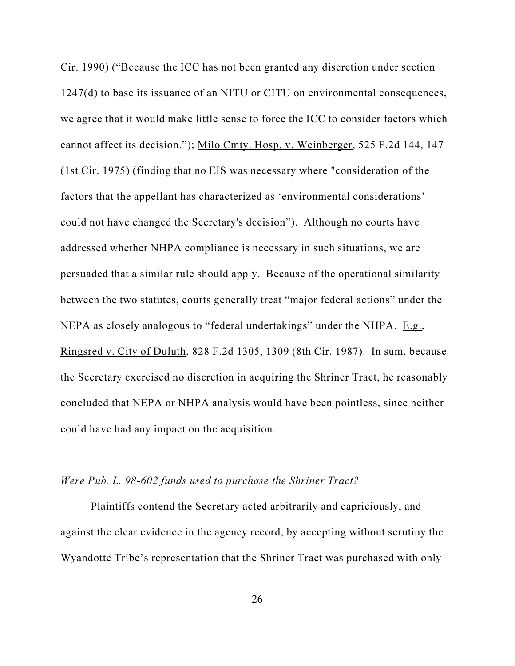Cir. 1990) ("Because the ICC has not been granted any discretion under section 1247(d) to base its issuance of an NITU or CITU on environmental consequences, we agree that it would make little sense to force the ICC to consider factors which cannot affect its decision."); Milo Cmty. Hosp. v. Weinberger, 525 F.2d 144, 147 (1st Cir. 1975) (finding that no EIS was necessary where "consideration of the factors that the appellant has characterized as 'environmental considerations' could not have changed the Secretary's decision"). Although no courts have addressed whether NHPA compliance is necessary in such situations, we are persuaded that a similar rule should apply. Because of the operational similarity between the two statutes, courts generally treat "major federal actions" under the NEPA as closely analogous to "federal undertakings" under the NHPA. E.g., Ringsred v. City of Duluth, 828 F.2d 1305, 1309 (8th Cir. 1987). In sum, because the Secretary exercised no discretion in acquiring the Shriner Tract, he reasonably concluded that NEPA or NHPA analysis would have been pointless, since neither could have had any impact on the acquisition.

### Were Pub. L. 98-602 funds used to purchase the Shriner Tract?

Plaintiffs contend the Secretary acted arbitrarily and capriciously, and against the clear evidence in the agency record, by accepting without scrutiny the Wyandotte Tribe's representation that the Shriner Tract was purchased with only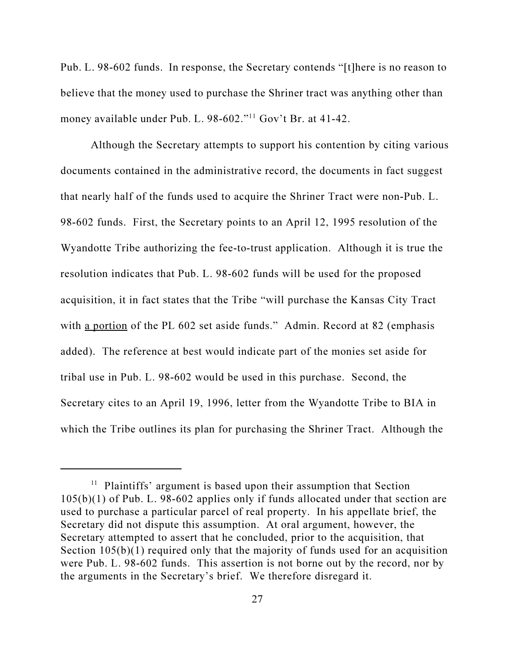Pub. L. 98-602 funds. In response, the Secretary contends "[t]here is no reason to believe that the money used to purchase the Shriner tract was anything other than money available under Pub. L. 98-602."<sup>11</sup> Gov't Br. at 41-42.

Although the Secretary attempts to support his contention by citing various documents contained in the administrative record, the documents in fact suggest that nearly half of the funds used to acquire the Shriner Tract were non-Pub. L. 98-602 funds. First, the Secretary points to an April 12, 1995 resolution of the Wyandotte Tribe authorizing the fee-to-trust application. Although it is true the resolution indicates that Pub. L. 98-602 funds will be used for the proposed acquisition, it in fact states that the Tribe "will purchase the Kansas City Tract with a portion of the PL 602 set aside funds." Admin. Record at 82 (emphasis added). The reference at best would indicate part of the monies set aside for tribal use in Pub. L. 98-602 would be used in this purchase. Second, the Secretary cites to an April 19, 1996, letter from the Wyandotte Tribe to BIA in which the Tribe outlines its plan for purchasing the Shriner Tract. Although the

<sup>&</sup>lt;sup>11</sup> Plaintiffs' argument is based upon their assumption that Section 105(b)(1) of Pub. L. 98-602 applies only if funds allocated under that section are used to purchase a particular parcel of real property. In his appellate brief, the Secretary did not dispute this assumption. At oral argument, however, the Secretary attempted to assert that he concluded, prior to the acquisition, that Section  $105(b)(1)$  required only that the majority of funds used for an acquisition were Pub. L. 98-602 funds. This assertion is not borne out by the record, nor by the arguments in the Secretary's brief. We therefore disregard it.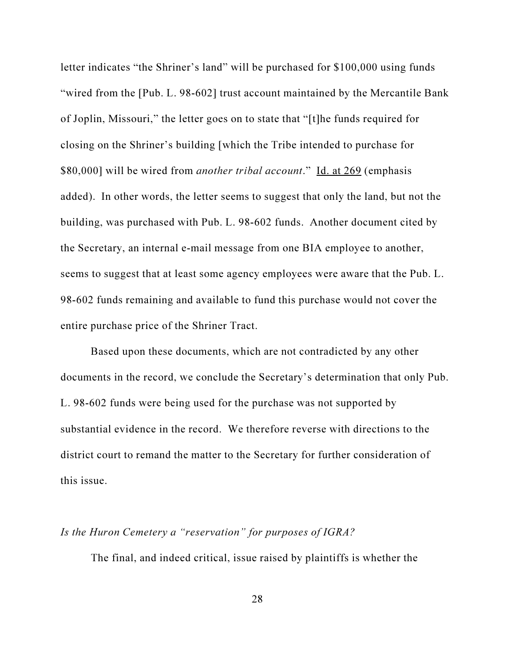letter indicates "the Shriner's land" will be purchased for \$100,000 using funds "wired from the [Pub. L. 98-602] trust account maintained by the Mercantile Bank of Joplin, Missouri," the letter goes on to state that "[t]he funds required for closing on the Shriner's building [which the Tribe intended to purchase for \$80,000] will be wired from *another tribal account*." Id. at 269 (emphasis added). In other words, the letter seems to suggest that only the land, but not the building, was purchased with Pub. L. 98-602 funds. Another document cited by the Secretary, an internal e-mail message from one BIA employee to another, seems to suggest that at least some agency employees were aware that the Pub. L. 98-602 funds remaining and available to fund this purchase would not cover the entire purchase price of the Shriner Tract.

Based upon these documents, which are not contradicted by any other documents in the record, we conclude the Secretary's determination that only Pub. L. 98-602 funds were being used for the purchase was not supported by substantial evidence in the record. We therefore reverse with directions to the district court to remand the matter to the Secretary for further consideration of this issue.

# Is the Huron Cemetery a "reservation" for purposes of IGRA?

The final, and indeed critical, issue raised by plaintiffs is whether the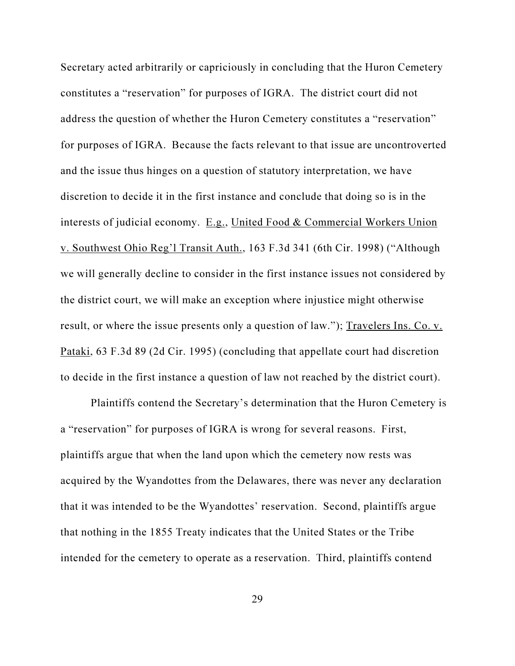Secretary acted arbitrarily or capriciously in concluding that the Huron Cemetery constitutes a "reservation" for purposes of IGRA. The district court did not address the question of whether the Huron Cemetery constitutes a "reservation" for purposes of IGRA. Because the facts relevant to that issue are uncontroverted and the issue thus hinges on a question of statutory interpretation, we have discretion to decide it in the first instance and conclude that doing so is in the interests of judicial economy. E.g., United Food & Commercial Workers Union v. Southwest Ohio Reg'l Transit Auth., 163 F.3d 341 (6th Cir. 1998) ("Although we will generally decline to consider in the first instance issues not considered by the district court, we will make an exception where injustice might otherwise result, or where the issue presents only a question of law."); Travelers Ins. Co. v. Pataki, 63 F.3d 89 (2d Cir. 1995) (concluding that appellate court had discretion to decide in the first instance a question of law not reached by the district court).

Plaintiffs contend the Secretary's determination that the Huron Cemetery is a "reservation" for purposes of IGRA is wrong for several reasons. First, plaintiffs argue that when the land upon which the cemetery now rests was acquired by the Wyandottes from the Delawares, there was never any declaration that it was intended to be the Wyandottes' reservation. Second, plaintiffs argue that nothing in the 1855 Treaty indicates that the United States or the Tribe intended for the cemetery to operate as a reservation. Third, plaintiffs contend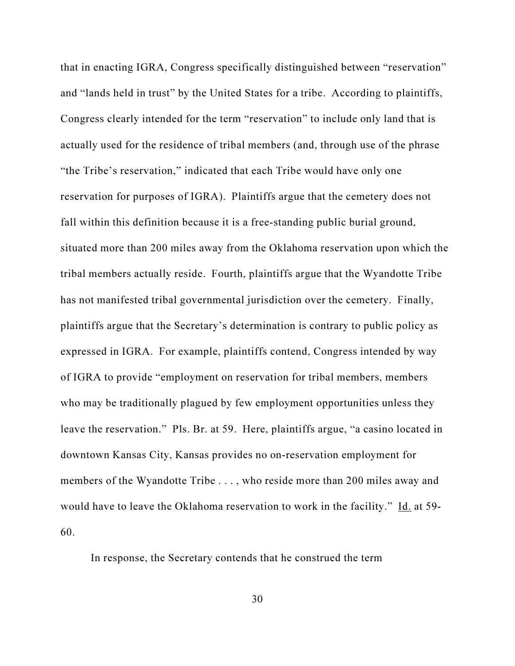that in enacting IGRA, Congress specifically distinguished between "reservation" and "lands held in trust" by the United States for a tribe. According to plaintiffs, Congress clearly intended for the term "reservation" to include only land that is actually used for the residence of tribal members (and, through use of the phrase "the Tribe's reservation," indicated that each Tribe would have only one reservation for purposes of IGRA). Plaintiffs argue that the cemetery does not fall within this definition because it is a free-standing public burial ground, situated more than 200 miles away from the Oklahoma reservation upon which the tribal members actually reside. Fourth, plaintiffs argue that the Wyandotte Tribe has not manifested tribal governmental jurisdiction over the cemetery. Finally, plaintiffs argue that the Secretary's determination is contrary to public policy as expressed in IGRA. For example, plaintiffs contend, Congress intended by way of IGRA to provide "employment on reservation for tribal members, members who may be traditionally plagued by few employment opportunities unless they leave the reservation." Pls. Br. at 59. Here, plaintiffs argue, "a casino located in downtown Kansas City, Kansas provides no on-reservation employment for members of the Wyandotte Tribe . . . , who reside more than 200 miles away and would have to leave the Oklahoma reservation to work in the facility." Id. at 59-60.

In response, the Secretary contends that he construed the term

30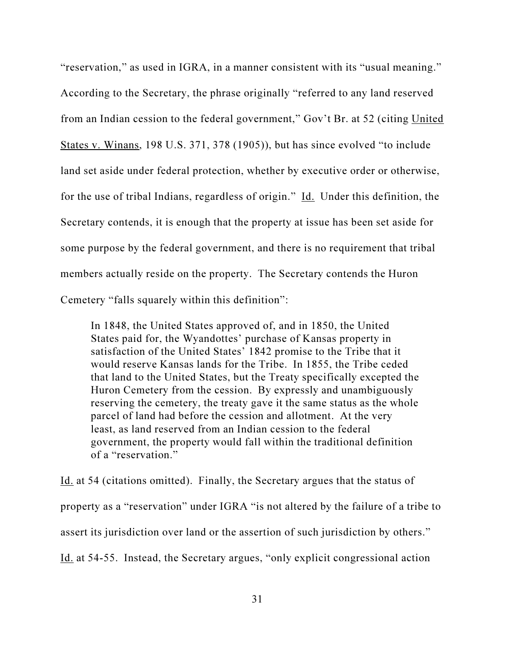"reservation," as used in IGRA, in a manner consistent with its "usual meaning." According to the Secretary, the phrase originally "referred to any land reserved from an Indian cession to the federal government," Gov't Br. at 52 (citing United States v. Winans, 198 U.S. 371, 378 (1905)), but has since evolved "to include land set aside under federal protection, whether by executive order or otherwise, for the use of tribal Indians, regardless of origin." Id. Under this definition, the Secretary contends, it is enough that the property at issue has been set aside for some purpose by the federal government, and there is no requirement that tribal members actually reside on the property. The Secretary contends the Huron Cemetery "falls squarely within this definition":

In 1848, the United States approved of, and in 1850, the United States paid for, the Wyandottes' purchase of Kansas property in satisfaction of the United States' 1842 promise to the Tribe that it would reserve Kansas lands for the Tribe. In 1855, the Tribe ceded that land to the United States, but the Treaty specifically excepted the Huron Cemetery from the cession. By expressly and unambiguously reserving the cemetery, the treaty gave it the same status as the whole parcel of land had before the cession and allotment. At the very least, as land reserved from an Indian cession to the federal government, the property would fall within the traditional definition of a "reservation."

Id. at 54 (citations omitted). Finally, the Secretary argues that the status of property as a "reservation" under IGRA "is not altered by the failure of a tribe to assert its jurisdiction over land or the assertion of such jurisdiction by others." Id. at 54-55. Instead, the Secretary argues, "only explicit congressional action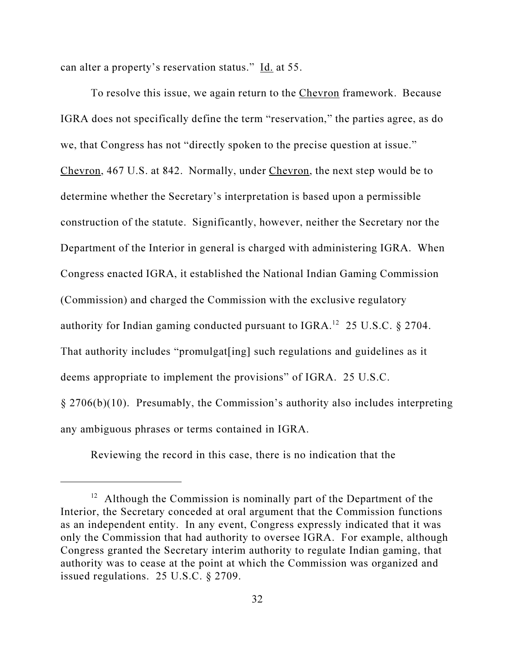can alter a property's reservation status." Id. at 55.

To resolve this issue, we again return to the Chevron framework. Because IGRA does not specifically define the term "reservation," the parties agree, as do we, that Congress has not "directly spoken to the precise question at issue." Chevron, 467 U.S. at 842. Normally, under Chevron, the next step would be to determine whether the Secretary's interpretation is based upon a permissible construction of the statute. Significantly, however, neither the Secretary nor the Department of the Interior in general is charged with administering IGRA. When Congress enacted IGRA, it established the National Indian Gaming Commission (Commission) and charged the Commission with the exclusive regulatory authority for Indian gaming conducted pursuant to IGRA.<sup>12</sup> 25 U.S.C. § 2704. That authority includes "promulgat[ing] such regulations and guidelines as it deems appropriate to implement the provisions" of IGRA. 25 U.S.C. § 2706(b)(10). Presumably, the Commission's authority also includes interpreting any ambiguous phrases or terms contained in IGRA.

Reviewing the record in this case, there is no indication that the

<sup>&</sup>lt;sup>12</sup> Although the Commission is nominally part of the Department of the Interior, the Secretary conceded at oral argument that the Commission functions as an independent entity. In any event, Congress expressly indicated that it was only the Commission that had authority to oversee IGRA. For example, although Congress granted the Secretary interim authority to regulate Indian gaming, that authority was to cease at the point at which the Commission was organized and issued regulations. 25 U.S.C. § 2709.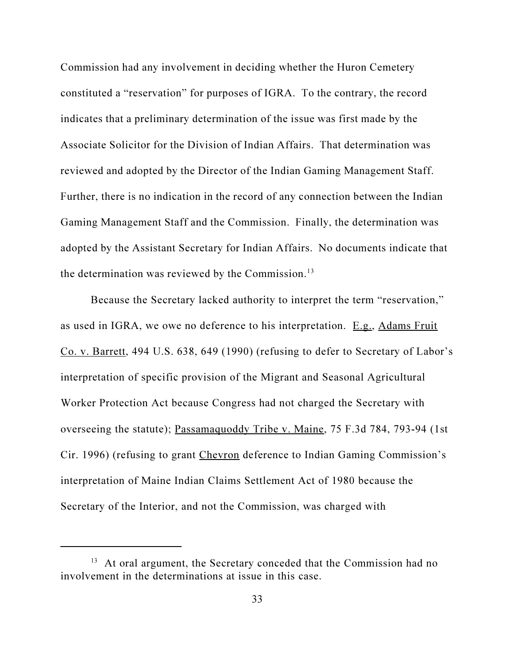Commission had any involvement in deciding whether the Huron Cemetery constituted a "reservation" for purposes of IGRA. To the contrary, the record indicates that a preliminary determination of the issue was first made by the Associate Solicitor for the Division of Indian Affairs. That determination was reviewed and adopted by the Director of the Indian Gaming Management Staff. Further, there is no indication in the record of any connection between the Indian Gaming Management Staff and the Commission. Finally, the determination was adopted by the Assistant Secretary for Indian Affairs. No documents indicate that the determination was reviewed by the Commission. $^{13}$ 

Because the Secretary lacked authority to interpret the term "reservation," as used in IGRA, we owe no deference to his interpretation. E.g., Adams Fruit Co. v. Barrett, 494 U.S. 638, 649 (1990) (refusing to defer to Secretary of Labor's interpretation of specific provision of the Migrant and Seasonal Agricultural Worker Protection Act because Congress had not charged the Secretary with overseeing the statute); Passamaquoddy Tribe v. Maine, 75 F.3d 784, 793-94 (1st Cir. 1996) (refusing to grant Chevron deference to Indian Gaming Commission's interpretation of Maine Indian Claims Settlement Act of 1980 because the Secretary of the Interior, and not the Commission, was charged with

<sup>&</sup>lt;sup>13</sup> At oral argument, the Secretary conceded that the Commission had no involvement in the determinations at issue in this case.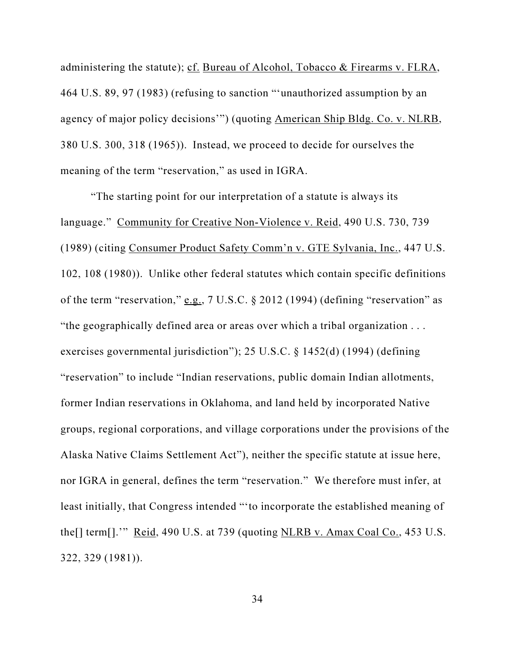administering the statute); cf. Bureau of Alcohol, Tobacco & Firearms v. FLRA, 464 U.S. 89, 97 (1983) (refusing to sanction "'unauthorized assumption by an agency of major policy decisions'") (quoting American Ship Bldg. Co. v. NLRB, 380 U.S. 300, 318 (1965)). Instead, we proceed to decide for ourselves the meaning of the term "reservation," as used in IGRA.

"The starting point for our interpretation of a statute is always its language." Community for Creative Non-Violence v. Reid, 490 U.S. 730, 739 (1989) (citing Consumer Product Safety Comm'n v. GTE Sylvania, Inc., 447 U.S. 102, 108 (1980)). Unlike other federal statutes which contain specific definitions of the term "reservation," e.g.,  $7 \text{ U.S.C.}$  § 2012 (1994) (defining "reservation" as "the geographically defined area or areas over which a tribal organization . . . exercises governmental jurisdiction"); 25 U.S.C. § 1452(d) (1994) (defining "reservation" to include "Indian reservations, public domain Indian allotments, former Indian reservations in Oklahoma, and land held by incorporated Native groups, regional corporations, and village corporations under the provisions of the Alaska Native Claims Settlement Act"), neither the specific statute at issue here, nor IGRA in general, defines the term "reservation." We therefore must infer, at least initially, that Congress intended "'to incorporate the established meaning of the[] term[].'" Reid, 490 U.S. at 739 (quoting NLRB v. Amax Coal Co., 453 U.S. 322, 329 (1981)).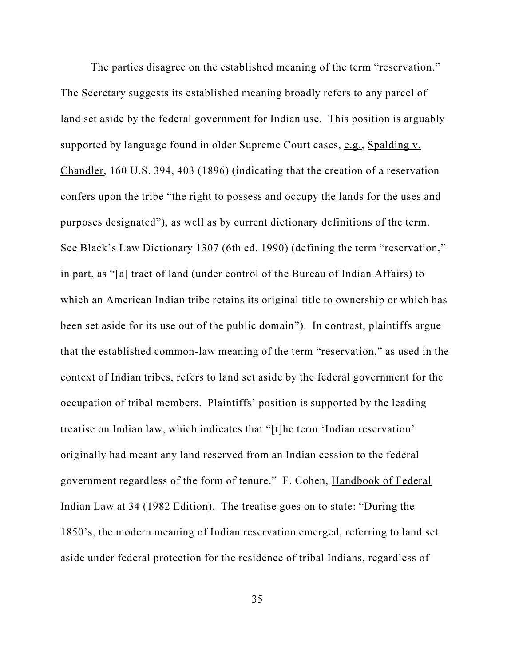The parties disagree on the established meaning of the term "reservation." The Secretary suggests its established meaning broadly refers to any parcel of land set aside by the federal government for Indian use. This position is arguably supported by language found in older Supreme Court cases, e.g., Spalding v. Chandler, 160 U.S. 394, 403 (1896) (indicating that the creation of a reservation confers upon the tribe "the right to possess and occupy the lands for the uses and purposes designated"), as well as by current dictionary definitions of the term. See Black's Law Dictionary 1307 (6th ed. 1990) (defining the term "reservation," in part, as "[a] tract of land (under control of the Bureau of Indian Affairs) to which an American Indian tribe retains its original title to ownership or which has been set aside for its use out of the public domain"). In contrast, plaintiffs argue that the established common-law meaning of the term "reservation," as used in the context of Indian tribes, refers to land set aside by the federal government for the occupation of tribal members. Plaintiffs' position is supported by the leading treatise on Indian law, which indicates that "[t]he term 'Indian reservation' originally had meant any land reserved from an Indian cession to the federal government regardless of the form of tenure." F. Cohen, Handbook of Federal Indian Law at 34 (1982 Edition). The treatise goes on to state: "During the 1850's, the modern meaning of Indian reservation emerged, referring to land set aside under federal protection for the residence of tribal Indians, regardless of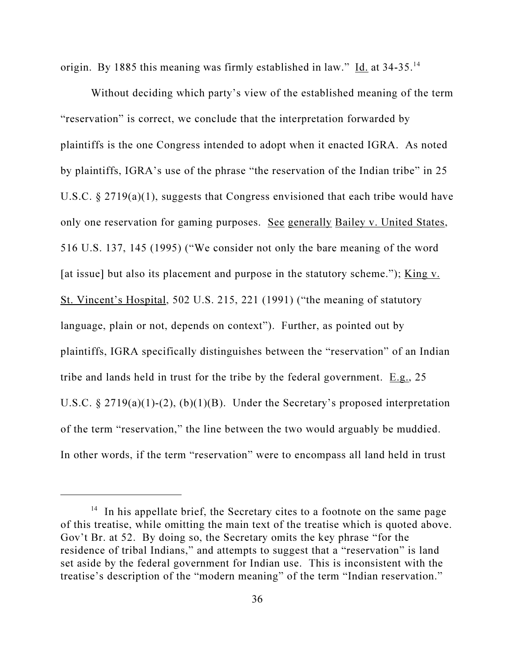origin. By 1885 this meaning was firmly established in law." Id. at 34-35.<sup>14</sup>

Without deciding which party's view of the established meaning of the term "reservation" is correct, we conclude that the interpretation forwarded by plaintiffs is the one Congress intended to adopt when it enacted IGRA. As noted by plaintiffs, IGRA's use of the phrase "the reservation of the Indian tribe" in 25 U.S.C. § 2719(a)(1), suggests that Congress envisioned that each tribe would have only one reservation for gaming purposes. See generally Bailey v. United States, 516 U.S. 137, 145 (1995) ("We consider not only the bare meaning of the word [at issue] but also its placement and purpose in the statutory scheme."); King v. St. Vincent's Hospital, 502 U.S. 215, 221 (1991) ("the meaning of statutory language, plain or not, depends on context"). Further, as pointed out by plaintiffs, IGRA specifically distinguishes between the "reservation" of an Indian tribe and lands held in trust for the tribe by the federal government.  $E.g., 25$ U.S.C.  $\S 2719(a)(1)-(2)$ ,  $(b)(1)(B)$ . Under the Secretary's proposed interpretation of the term "reservation," the line between the two would arguably be muddied. In other words, if the term "reservation" were to encompass all land held in trust

<sup>&</sup>lt;sup>14</sup> In his appellate brief, the Secretary cites to a footnote on the same page of this treatise, while omitting the main text of the treatise which is quoted above. Gov't Br. at 52. By doing so, the Secretary omits the key phrase "for the residence of tribal Indians," and attempts to suggest that a "reservation" is land set aside by the federal government for Indian use. This is inconsistent with the treatise's description of the "modern meaning" of the term "Indian reservation."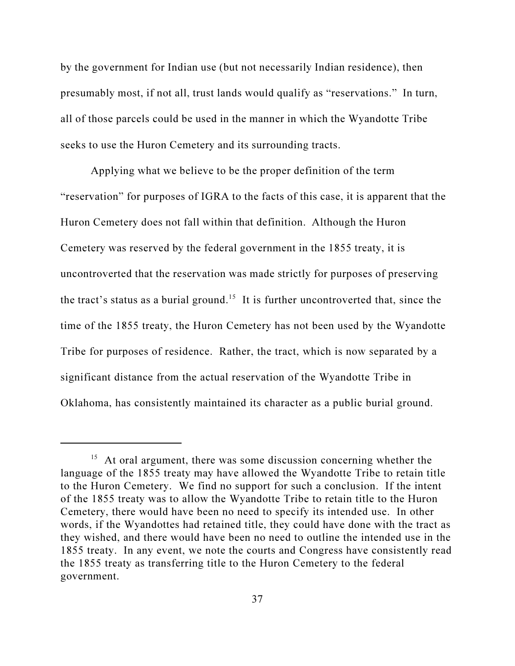by the government for Indian use (but not necessarily Indian residence), then presumably most, if not all, trust lands would qualify as "reservations." In turn, all of those parcels could be used in the manner in which the Wyandotte Tribe seeks to use the Huron Cemetery and its surrounding tracts.

Applying what we believe to be the proper definition of the term "reservation" for purposes of IGRA to the facts of this case, it is apparent that the Huron Cemetery does not fall within that definition. Although the Huron Cemetery was reserved by the federal government in the 1855 treaty, it is uncontroverted that the reservation was made strictly for purposes of preserving the tract's status as a burial ground.<sup>15</sup> It is further uncontroverted that, since the time of the 1855 treaty, the Huron Cemetery has not been used by the Wyandotte Tribe for purposes of residence. Rather, the tract, which is now separated by a significant distance from the actual reservation of the Wyandotte Tribe in Oklahoma, has consistently maintained its character as a public burial ground.

<sup>&</sup>lt;sup>15</sup> At oral argument, there was some discussion concerning whether the language of the 1855 treaty may have allowed the Wyandotte Tribe to retain title to the Huron Cemetery. We find no support for such a conclusion. If the intent of the 1855 treaty was to allow the Wyandotte Tribe to retain title to the Huron Cemetery, there would have been no need to specify its intended use. In other words, if the Wyandottes had retained title, they could have done with the tract as they wished, and there would have been no need to outline the intended use in the 1855 treaty. In any event, we note the courts and Congress have consistently read the 1855 treaty as transferring title to the Huron Cemetery to the federal government.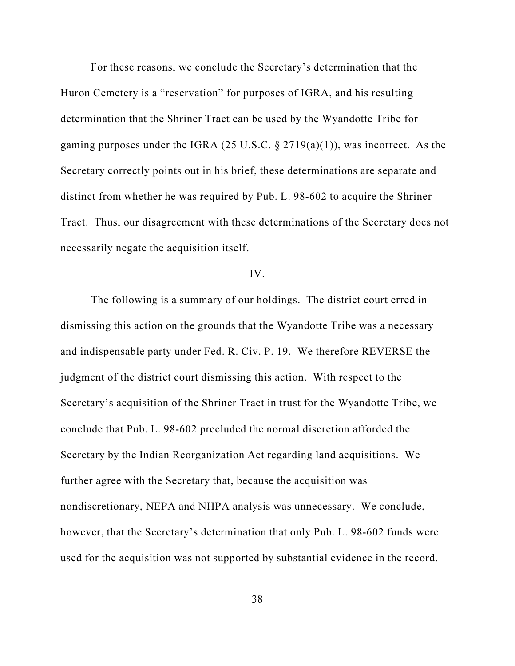For these reasons, we conclude the Secretary's determination that the Huron Cemetery is a "reservation" for purposes of IGRA, and his resulting determination that the Shriner Tract can be used by the Wyandotte Tribe for gaming purposes under the IGRA (25 U.S.C.  $\S 2719(a)(1)$ ), was incorrect. As the Secretary correctly points out in his brief, these determinations are separate and distinct from whether he was required by Pub. L. 98-602 to acquire the Shriner Tract. Thus, our disagreement with these determinations of the Secretary does not necessarily negate the acquisition itself.

## IV.

The following is a summary of our holdings. The district court erred in dismissing this action on the grounds that the Wyandotte Tribe was a necessary and indispensable party under Fed. R. Civ. P. 19. We therefore REVERSE the judgment of the district court dismissing this action. With respect to the Secretary's acquisition of the Shriner Tract in trust for the Wyandotte Tribe, we conclude that Pub. L. 98-602 precluded the normal discretion afforded the Secretary by the Indian Reorganization Act regarding land acquisitions. We further agree with the Secretary that, because the acquisition was nondiscretionary, NEPA and NHPA analysis was unnecessary. We conclude, however, that the Secretary's determination that only Pub. L. 98-602 funds were used for the acquisition was not supported by substantial evidence in the record.